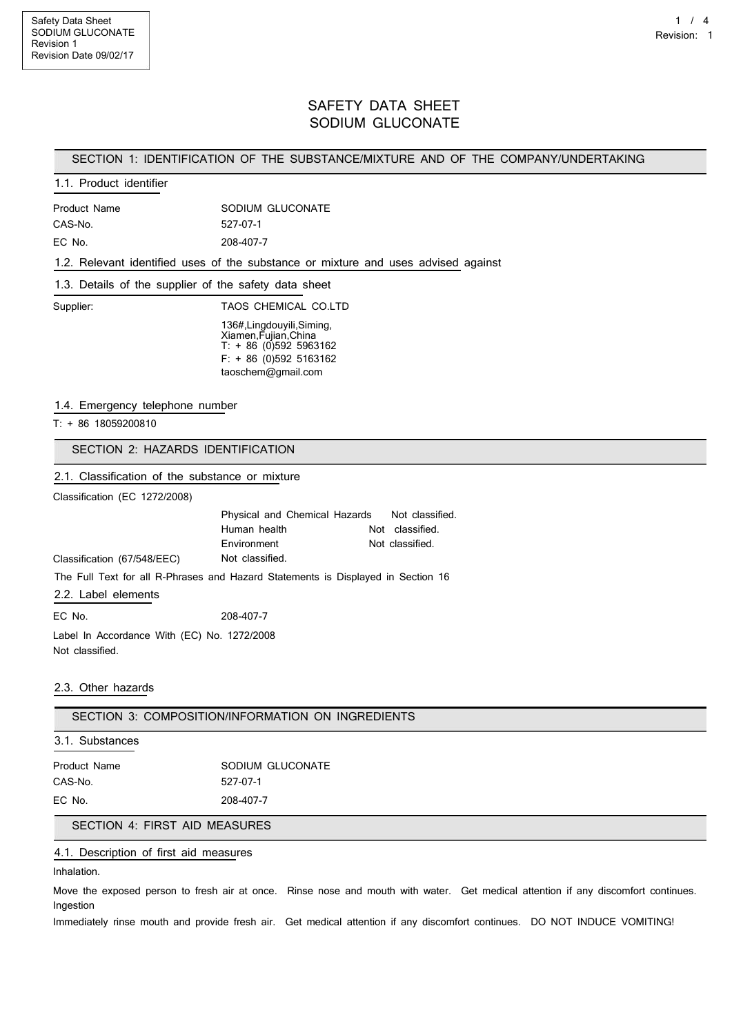# SAFETY DATA SHEET SODIUM GLUCONATE

## SECTION 1: IDENTIFICATION OF THE SUBSTANCE/MIXTURE AND OF THE COMPANY/UNDERTAKING

# 1.1. Product identifier

| Product Name | SODIUM GLUCONATE |
|--------------|------------------|
| CAS-No.      | 527-07-1         |
| EC No.       | 208-407-7        |

1.2. Relevant identified uses of the substance or mixture and uses advised against

#### 1.3. Details of the supplier of the safety data sheet

Supplier: TAOS CHEMICAL CO.LTD 136#,Lingdouyili,Siming,

| Xiamen, Fujian, China |  |  |  |                          |
|-----------------------|--|--|--|--------------------------|
|                       |  |  |  | $T: + 86$ (0)592 5963162 |
|                       |  |  |  | $F: + 86$ (0)592 5163162 |
| taoschem@gmail.com    |  |  |  |                          |

#### 1.4. Emergency telephone number

T: + 86 18059200810

SECTION 2: HAZARDS IDENTIFICATION

## 2.1. Classification of the substance or mixture

Classification (EC 1272/2008)

|                                                                                  | Physical and Chemical Hazards Not classified. |                 |
|----------------------------------------------------------------------------------|-----------------------------------------------|-----------------|
|                                                                                  | Human health                                  | Not classified. |
|                                                                                  | Environment                                   | Not classified. |
| Classification (67/548/EEC)                                                      | Not classified.                               |                 |
| The Full Text for all R-Phrases and Hazard Statements is Displayed in Section 16 |                                               |                 |
| 2.2. Label elements                                                              |                                               |                 |

EC No. 208-407-7 Label In Accordance With (EC) No. 1272/2008 Not classified.

#### 2.3. Other hazards

SECTION 3: COMPOSITION/INFORMATION ON INGREDIENTS

#### 3.1. Substances

| <b>Product Name</b> | SODIUM GLUCONATE |
|---------------------|------------------|
| CAS-No.             | 527-07-1         |
| EC No.              | 208-407-7        |

### SECTION 4: FIRST AID MEASURES

## 4.1. Description of first aid measures

Inhalation.

Move the exposed person to fresh air at once. Rinse nose and mouth with water. Get medical attention if any discomfort continues. Ingestion

Immediately rinse mouth and provide fresh air. Get medical attention if any discomfort continues. DO NOT INDUCE VOMITING!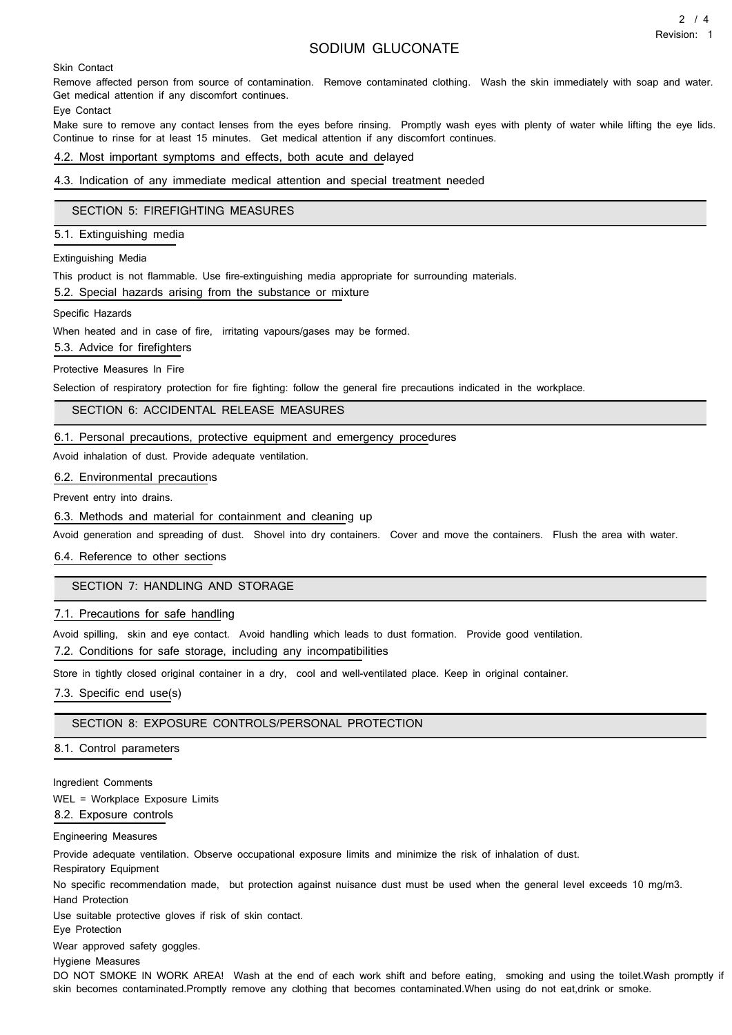# SODIUM GLUCONATE

Skin Contact

Remove affected person from source of contamination. Remove contaminated clothing. Wash the skin immediately with soap and water. Get medical attention if any discomfort continues.

Eye Contact

Make sure to remove any contact lenses from the eyes before rinsing. Promptly wash eyes with plenty of water while lifting the eye lids. Continue to rinse for at least 15 minutes. Get medical attention if any discomfort continues.

4.2. Most important symptoms and effects, both acute and delayed

4.3. Indication of any immediate medical attention and special treatment needed

### SECTION 5: FIREFIGHTING MEASURES

5.1. Extinguishing media

Extinguishing Media

This product is not flammable. Use fire-extinguishing media appropriate for surrounding materials.

5.2. Special hazards arising from the substance or mixture

Specific Hazards

When heated and in case of fire, irritating vapours/gases may be formed.

5.3. Advice for firefighters

#### Protective Measures In Fire

Selection of respiratory protection for fire fighting: follow the general fire precautions indicated in the workplace.

SECTION 6: ACCIDENTAL RELEASE MEASURES

6.1. Personal precautions, protective equipment and emergency procedures

Avoid inhalation of dust. Provide adequate ventilation.

#### 6.2. Environmental precautions

Prevent entry into drains.

6.3. Methods and material for containment and cleaning up

Avoid generation and spreading of dust. Shovel into dry containers. Cover and move the containers. Flush the area with water.

### 6.4. Reference to other sections

## SECTION 7: HANDLING AND STORAGE

### 7.1. Precautions for safe handling

Avoid spilling, skin and eye contact. Avoid handling which leads to dust formation. Provide good ventilation.

7.2. Conditions for safe storage, including any incompatibilities

Store in tightly closed original container in a dry, cool and well-ventilated place. Keep in original container.

7.3. Specific end use(s)

### SECTION 8: EXPOSURE CONTROLS/PERSONAL PROTECTION

#### 8.1. Control parameters

Ingredient Comments

WEL = Workplace Exposure Limits

8.2. Exposure controls

## Engineering Measures

Provide adequate ventilation. Observe occupational exposure limits and minimize the risk of inhalation of dust.

Respiratory Equipment

No specific recommendation made, but protection against nuisance dust must be used when the general level exceeds 10 mg/m3. Hand Protection

Use suitable protective gloves if risk of skin contact.

Eye Protection

Wear approved safety goggles.

Hygiene Measures

DO NOT SMOKE IN WORK AREA! Wash at the end of each work shift and before eating, smoking and using the toilet.Wash promptly if skin becomes contaminated.Promptly remove any clothing that becomes contaminated.When using do not eat,drink or smoke.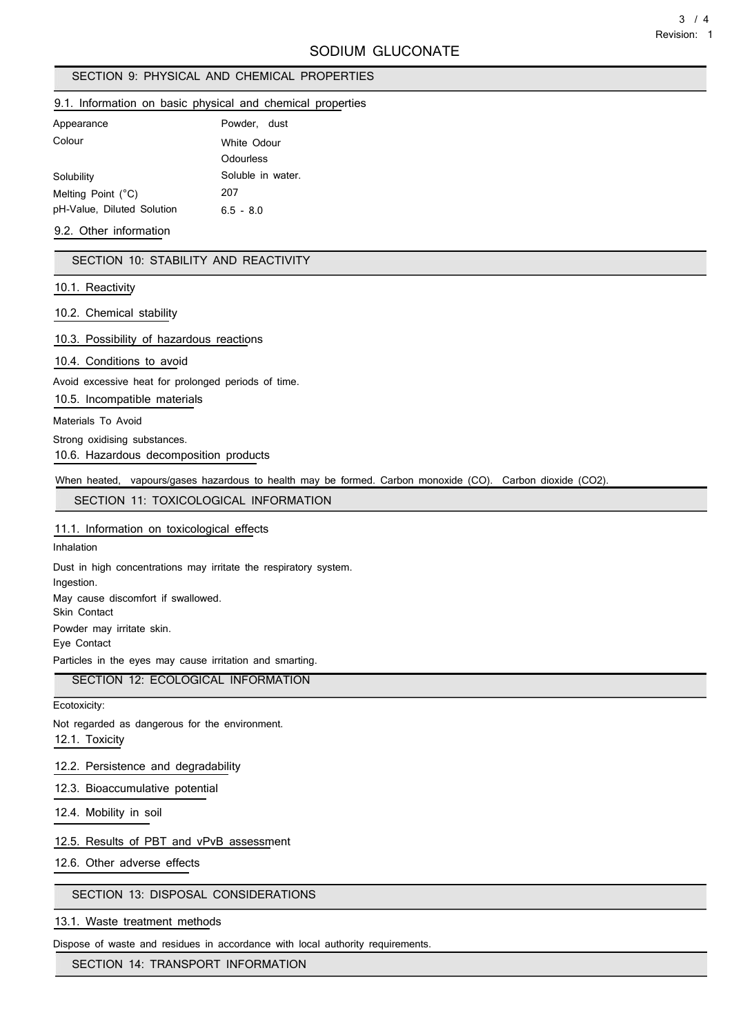# SECTION 9: PHYSICAL AND CHEMICAL PROPERTIES

### 9.1. Information on basic physical and chemical properties

| Appearance                 | Powder, dust      |  |
|----------------------------|-------------------|--|
| Colour                     | White Odour       |  |
|                            | Odourless         |  |
| Solubility                 | Soluble in water. |  |
| Melting Point (°C)         | 207               |  |
| pH-Value, Diluted Solution | $6.5 - 8.0$       |  |

### 9.2. Other information

SECTION 10: STABILITY AND REACTIVITY

## 10.1. Reactivity

10.2. Chemical stability

10.3. Possibility of hazardous reactions

10.4. Conditions to avoid

Avoid excessive heat for prolonged periods of time.

10.5. Incompatible materials

Materials To Avoid

Strong oxidising substances.

10.6. Hazardous decomposition products

When heated, vapours/gases hazardous to health may be formed. Carbon monoxide (CO). Carbon dioxide (CO2).

SECTION 11: TOXICOLOGICAL INFORMATION

#### 11.1. Information on toxicological effects

Inhalation

Dust in high concentrations may irritate the respiratory system. Ingestion. May cause discomfort if swallowed. Skin Contact Powder may irritate skin. Eye Contact Particles in the eyes may cause irritation and smarting.

# SECTION 12: ECOLOGICAL INFORMATION

Ecotoxicity:

Not regarded as dangerous for the environment.

12.1. Toxicity

### 12.2. Persistence and degradability

12.3. Bioaccumulative potential

12.4. Mobility in soil

## 12.5. Results of PBT and vPvB assessment

12.6. Other adverse effects

# SECTION 13: DISPOSAL CONSIDERATIONS

13.1. Waste treatment methods

Dispose of waste and residues in accordance with local authority requirements.

SECTION 14: TRANSPORT INFORMATION